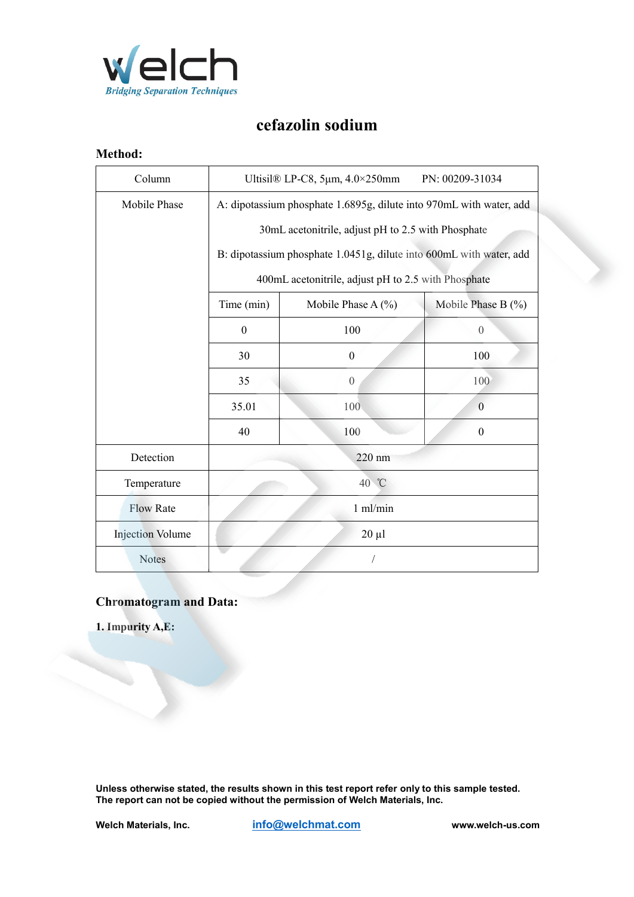

## **cefazolin sodium**

## **Method:**

| Column                  | Ultisil $\&$ LP-C8, 5 $\mu$ m, 4.0×250mm<br>PN: 00209-31034                                                                                                                      |                        |                        |
|-------------------------|----------------------------------------------------------------------------------------------------------------------------------------------------------------------------------|------------------------|------------------------|
| Mobile Phase            | A: dipotassium phosphate 1.6895g, dilute into 970mL with water, add                                                                                                              |                        |                        |
|                         | 30mL acetonitrile, adjust pH to 2.5 with Phosphate<br>B: dipotassium phosphate 1.0451g, dilute into 600mL with water, add<br>400mL acetonitrile, adjust pH to 2.5 with Phosphate |                        |                        |
|                         |                                                                                                                                                                                  |                        |                        |
|                         |                                                                                                                                                                                  |                        |                        |
|                         | Time (min)                                                                                                                                                                       | Mobile Phase A $(\% )$ | Mobile Phase B $(\% )$ |
|                         | $\boldsymbol{0}$                                                                                                                                                                 | 100                    | $\theta$               |
|                         | 30                                                                                                                                                                               | $\boldsymbol{0}$       | 100                    |
|                         | 35                                                                                                                                                                               | $\boldsymbol{0}$       | 100                    |
|                         | 35.01                                                                                                                                                                            | 100                    | $\mathbf{0}$           |
|                         | 40                                                                                                                                                                               | 100                    | $\mathbf{0}$           |
| Detection               | 220 nm                                                                                                                                                                           |                        |                        |
| Temperature             | 40 °C                                                                                                                                                                            |                        |                        |
| <b>Flow Rate</b>        | $1$ ml/min                                                                                                                                                                       |                        |                        |
| <b>Injection Volume</b> | $20 \mu l$                                                                                                                                                                       |                        |                        |
| <b>Notes</b>            |                                                                                                                                                                                  |                        |                        |

## **Chromatogram and Data:**

**1. Impurity A,E:**

**Unless otherwise stated, the results shown in this test report refer only to this sample tested. The report can not be copied without the permission of Welch Materials, Inc.**

 $\mathcal{S}_{\mathcal{S}}$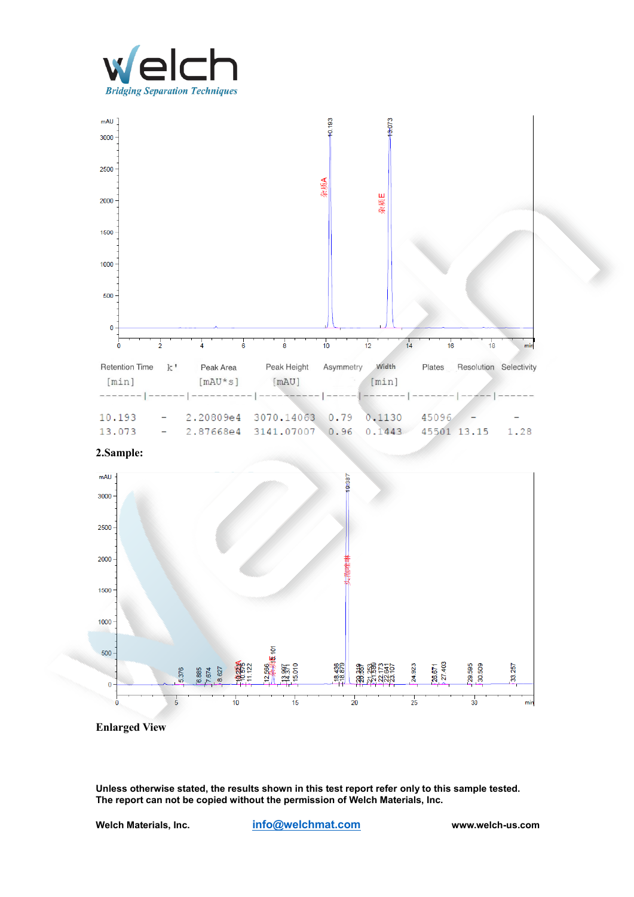





**Enlarged View**

**Unless otherwise stated, the results shown in this test report refer only to this sample tested. The report can not be copied without the permission of Welch Materials, Inc.**